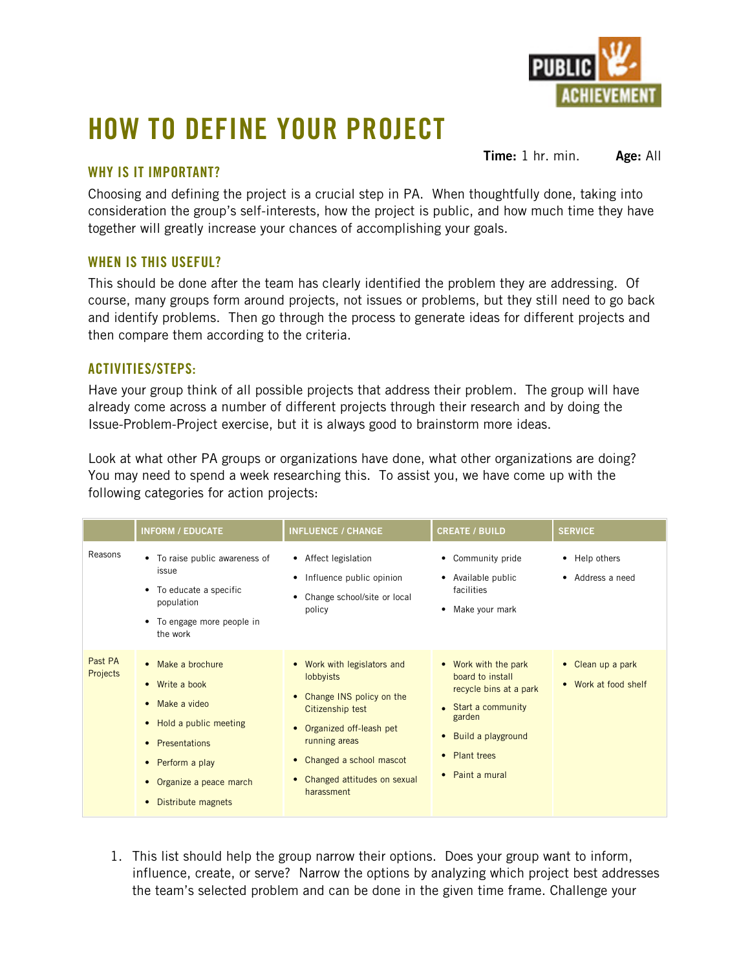

## **HOW TO DEFINE YOUR PROJECT**

## **WHY IS IT IMPORTANT?**

**Time:** 1 hr. min. **Age:** All

Choosing and defining the project is a crucial step in PA. When thoughtfully done, taking into consideration the group's self-interests, how the project is public, and how much time they have together will greatly increase your chances of accomplishing your goals.

## **WHEN IS THIS USEFUL?**

This should be done after the team has clearly identified the problem they are addressing. Of course, many groups form around projects, not issues or problems, but they still need to go back and identify problems. Then go through the process to generate ideas for different projects and then compare them according to the criteria.

## **ACTIVITIES/STEPS:**

Have your group think of all possible projects that address their problem. The group will have already come across a number of different projects through their research and by doing the Issue-Problem-Project exercise, but it is always good to brainstorm more ideas.

Look at what other PA groups or organizations have done, what other organizations are doing? You may need to spend a week researching this. To assist you, we have come up with the following categories for action projects:

|                     | <b>INFORM / EDUCATE</b>                                                                                                                                                                                   | <b>INFLUENCE / CHANGE</b>                                                                                                                                                                                                                                    | <b>CREATE / BUILD</b>                                                                                                                                           | <b>SERVICE</b>                            |
|---------------------|-----------------------------------------------------------------------------------------------------------------------------------------------------------------------------------------------------------|--------------------------------------------------------------------------------------------------------------------------------------------------------------------------------------------------------------------------------------------------------------|-----------------------------------------------------------------------------------------------------------------------------------------------------------------|-------------------------------------------|
| Reasons             | • To raise public awareness of<br>issue<br>• To educate a specific<br>population<br>• To engage more people in<br>the work                                                                                | • Affect legislation<br>• Influence public opinion<br>Change school/site or local<br>policy                                                                                                                                                                  | • Community pride<br>• Available public<br>facilities<br>Make your mark                                                                                         | • Help others<br>• Address a need         |
| Past PA<br>Projects | • Make a brochure<br>$\bullet$ Write a book<br>• Make a video<br>• Hold a public meeting<br>• Presentations<br>• Perform a play<br>Organize a peace march<br>$\bullet$<br>Distribute magnets<br>$\bullet$ | • Work with legislators and<br><b>lobbyists</b><br>• Change INS policy on the<br>Citizenship test<br>Organized off-leash pet<br>$\bullet$<br>running areas<br>Changed a school mascot<br>$\bullet$<br>Changed attitudes on sexual<br>$\bullet$<br>harassment | • Work with the park<br>board to install<br>recycle bins at a park<br>• Start a community<br>garden<br>• Build a playground<br>• Plant trees<br>• Paint a mural | • Clean up a park<br>• Work at food shelf |

1. This list should help the group narrow their options. Does your group want to inform, influence, create, or serve? Narrow the options by analyzing which project best addresses the team's selected problem and can be done in the given time frame. Challenge your